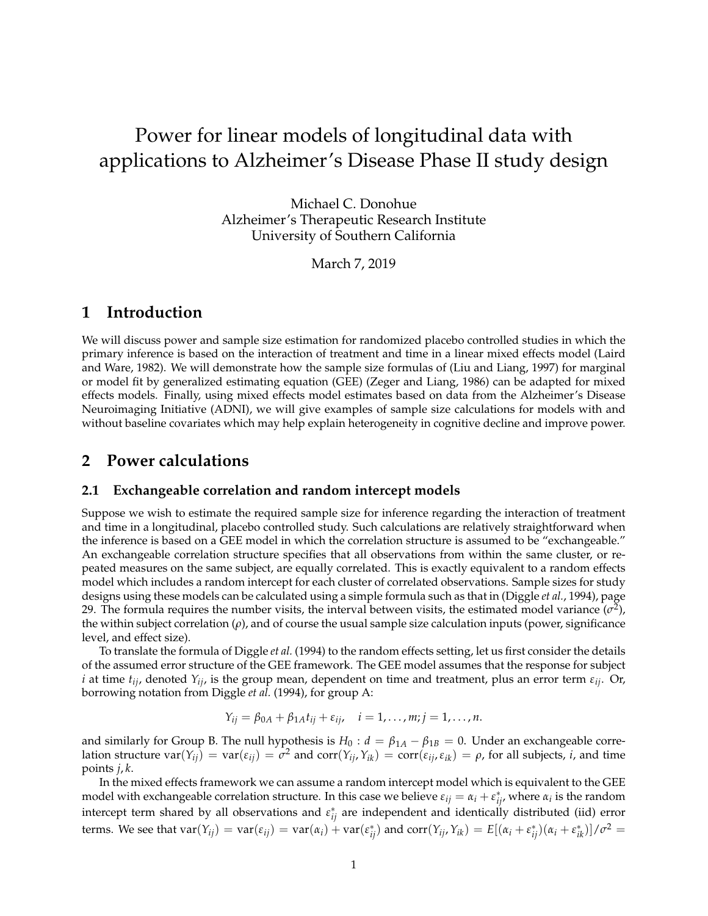# Power for linear models of longitudinal data with applications to Alzheimer's Disease Phase II study design

Michael C. Donohue Alzheimer's Therapeutic Research Institute University of Southern California

March 7, 2019

## **1 Introduction**

We will discuss power and sample size estimation for randomized placebo controlled studies in which the primary inference is based on the interaction of treatment and time in a linear mixed effects model (Laird and Ware, 1982). We will demonstrate how the sample size formulas of (Liu and Liang, 1997) for marginal or model fit by generalized estimating equation (GEE) (Zeger and Liang, 1986) can be adapted for mixed effects models. Finally, using mixed effects model estimates based on data from the Alzheimer's Disease Neuroimaging Initiative (ADNI), we will give examples of sample size calculations for models with and without baseline covariates which may help explain heterogeneity in cognitive decline and improve power.

### **2 Power calculations**

#### **2.1 Exchangeable correlation and random intercept models**

Suppose we wish to estimate the required sample size for inference regarding the interaction of treatment and time in a longitudinal, placebo controlled study. Such calculations are relatively straightforward when the inference is based on a GEE model in which the correlation structure is assumed to be "exchangeable." An exchangeable correlation structure specifies that all observations from within the same cluster, or repeated measures on the same subject, are equally correlated. This is exactly equivalent to a random effects model which includes a random intercept for each cluster of correlated observations. Sample sizes for study designs using these models can be calculated using a simple formula such as that in (Diggle *et al.*, 1994), page 29. The formula requires the number visits, the interval between visits, the estimated model variance  $(\sigma^2)$ , the within subject correlation (*ρ*), and of course the usual sample size calculation inputs (power, significance level, and effect size).

To translate the formula of Diggle *et al.* (1994) to the random effects setting, let us first consider the details of the assumed error structure of the GEE framework. The GEE model assumes that the response for subject *i* at time *tij*, denoted *Yij*, is the group mean, dependent on time and treatment, plus an error term *εij*. Or, borrowing notation from Diggle *et al.* (1994), for group A:

$$
Y_{ij} = \beta_{0A} + \beta_{1A}t_{ij} + \varepsilon_{ij}, \quad i = 1, ..., m; j = 1, ..., n.
$$

and similarly for Group B. The null hypothesis is  $H_0: d = \beta_{1A} - \beta_{1B} = 0$ . Under an exchangeable correlation structure  $\text{var}(Y_{ij}) = \text{var}(\varepsilon_{ij}) = \sigma^2$  and  $\text{corr}(Y_{ij},Y_{ik}) = \text{corr}(\varepsilon_{ij},\varepsilon_{ik}) = \rho$ , for all subjects, *i*, and time points *j*, *k*.

In the mixed effects framework we can assume a random intercept model which is equivalent to the GEE model with exchangeable correlation structure. In this case we believe  $\varepsilon_{ij} = \alpha_i + \varepsilon_{ij}^*$ , where  $\alpha_i$  is the random intercept term shared by all observations and  $\varepsilon_{ij}^*$  are independent and identically distributed (iid) error terms. We see that  $var(Y_{ij}) = var(\varepsilon_{ij}) = var(\alpha_i) + var(\varepsilon_{ij}^*)$  and  $corr(Y_{ij}, Y_{ik}) = E[(\alpha_i + \varepsilon_{ij}^*)(\alpha_i + \varepsilon_{ik}^*)]/\sigma^2 =$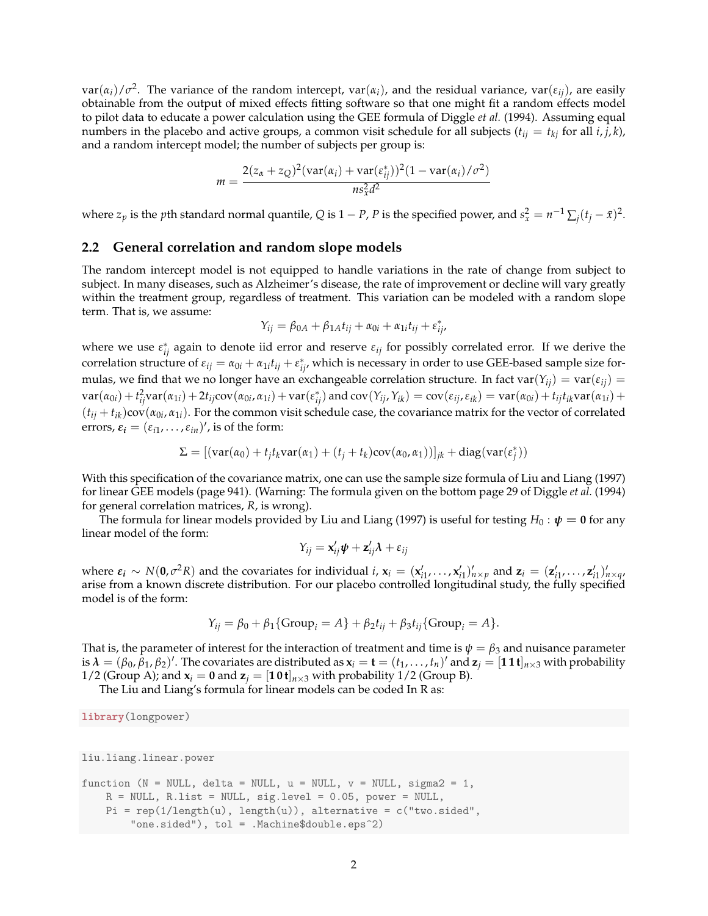$var(\alpha_i)/\sigma^2$ . The variance of the random intercept,  $var(\alpha_i)$ , and the residual variance,  $var(\epsilon_{ij})$ , are easily obtainable from the output of mixed effects fitting software so that one might fit a random effects model to pilot data to educate a power calculation using the GEE formula of Diggle *et al.* (1994). Assuming equal numbers in the placebo and active groups, a common visit schedule for all subjects  $(t_{ij} = t_{ki}$  for all  $i, j, k$ ), and a random intercept model; the number of subjects per group is:

$$
m = \frac{2(z_{\alpha}+z_Q)^2(\text{var}(\alpha_i)+\text{var}(\varepsilon_{ij}^*))^2(1-\text{var}(\alpha_i)/\sigma^2)}{n s_x^2 d^2}
$$

where  $z_p$  is the *p*th standard normal quantile, *Q* is 1 − *P*, *P* is the specified power, and  $s_x^2 = n^{-1} \sum_j (t_j - \bar{x})^2$ .

#### **2.2 General correlation and random slope models**

The random intercept model is not equipped to handle variations in the rate of change from subject to subject. In many diseases, such as Alzheimer's disease, the rate of improvement or decline will vary greatly within the treatment group, regardless of treatment. This variation can be modeled with a random slope term. That is, we assume:

$$
Y_{ij} = \beta_{0A} + \beta_{1A}t_{ij} + \alpha_{0i} + \alpha_{1i}t_{ij} + \varepsilon_{ij}^*
$$

where we use  $\varepsilon_{ij}^*$  again to denote iid error and reserve  $\varepsilon_{ij}$  for possibly correlated error. If we derive the correlation structure of  $\varepsilon_{ij} = \alpha_{0i} + \alpha_{1i}t_{ij} + \varepsilon_{ij}^*$ , which is necessary in order to use GEE-based sample size formulas, we find that we no longer have an exchangeable correlation structure. In fact var $(Y_{ij}) = \text{var}(\varepsilon_{ij}) =$  $\text{var}(\alpha_{0i}) + t_{ij}^2 \text{var}(\alpha_{1i}) + 2t_{ij} \text{cov}(\alpha_{0i}, \alpha_{1i}) + \text{var}(\varepsilon_{ij}^*)$  and  $\text{cov}(Y_{ij}, Y_{ik}) = \text{cov}(\varepsilon_{ij}, \varepsilon_{ik}) = \text{var}(\alpha_{0i}) + t_{ij} t_{ik} \text{var}(\alpha_{1i}) +$  $(t_{ij} + t_{ik})$ cov $(\alpha_{0i}, \alpha_{1i})$ . For the common visit schedule case, the covariance matrix for the vector of correlated errors,  $\varepsilon_i = (\varepsilon_{i1}, \dots, \varepsilon_{in})'$ , is of the form:

$$
\Sigma = [(\text{var}(\alpha_0) + t_j t_k \text{var}(\alpha_1) + (t_j + t_k) \text{cov}(\alpha_0, \alpha_1))]_{jk} + \text{diag}(\text{var}(\varepsilon_j^*))
$$

With this specification of the covariance matrix, one can use the sample size formula of Liu and Liang (1997) for linear GEE models (page 941). (Warning: The formula given on the bottom page 29 of Diggle *et al.* (1994) for general correlation matrices, *R*, is wrong).

The formula for linear models provided by Liu and Liang (1997) is useful for testing  $H_0: \psi = 0$  for any linear model of the form:

$$
Y_{ij} = \mathbf{x}_{ij}'\mathbf{\psi} + \mathbf{z}_{ij}'\mathbf{\lambda} + \varepsilon_{ij}
$$

where  $\varepsilon_i \sim N(0, \sigma^2 R)$  and the covariates for individual *i*,  $\mathbf{x}_i = (\mathbf{x}'_{i1}, \dots, \mathbf{x}'_{i1})'_{n \times p}$  and  $\mathbf{z}_i = (\mathbf{z}'_{i1}, \dots, \mathbf{z}'_{i1})'_{n \times q}$ arise from a known discrete distribution. For our placebo controlled longitudinal study, the fully specified model is of the form:

$$
Y_{ij} = \beta_0 + \beta_1 \{Group_i = A\} + \beta_2 t_{ij} + \beta_3 t_{ij} \{Group_i = A\}.
$$

That is, the parameter of interest for the interaction of treatment and time is  $\psi = \beta_3$  and nuisance parameter is  $\lambda = (\beta_0, \hat{\beta}_1, \beta_2)'$ . The covariates are distributed as  $x_i = t = (t_1, \ldots, t_n)'$  and  $z_j = [11t]_{n \times 3}$  with probability 1/2 (Group A); and  $\mathbf{x}_i = \mathbf{0}$  and  $\mathbf{z}_i = [\mathbf{1} \mathbf{0} \mathbf{t}]_{n \times 3}$  with probability 1/2 (Group B).

The Liu and Liang's formula for linear models can be coded In R as:

**library**(longpower)

```
liu.liang.linear.power
```

```
function (N = NULL, delta = NULL, u = NULL, v = NULL, sigma2 = 1,
    R = NULL, R.list = NULL, sig.level = 0.05, power = NULL,
    Pi = rep(1/length(u), length(u)), alternative = c("two-sided","one.sided"), tol = .Machine$double.eps^2)
```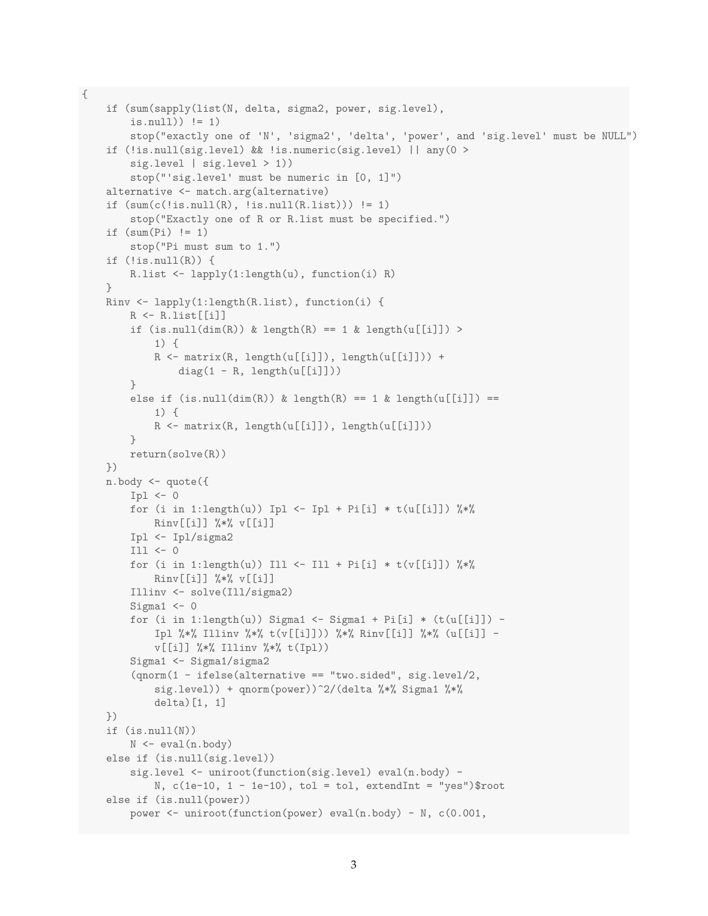```
if (sum(sapply(list(N, delta, sigma2, power, sig.level),
    is.null)) != 1)
    stop("exactly one of 'N', 'sigma2', 'delta', 'power', and 'sig.level' must be NULL")
if (!is.null(sig.level) && !is.numeric(sig.level) || any(0 >
    sig.level | sig.level > 1))
    stop("'sig.level' must be numeric in [0, 1]")
alternative <- match.arg(alternative)
if (sum(c(!is.null(R), !is.null(R.list))) != 1)stop("Exactly one of R or R.list must be specified.")
if (sum(Pi) != 1)stop("Pi must sum to 1.")
if (!is.null(R)) {
    R.list <- lapply(1:length(u), function(i) R)
}
Rinv <- lapply(1:length(R.list), function(i) {
    R \leftarrow Ru.list[[i]]if (is.null(dim(R)) & length(R) == 1 & length(u[[i]]) >
        1) {
        R <- matrix(R, length(u[[i]]), length(u[[i]])) +
            diag(1 - R, length(u[[i]]))}
    else if (is.null(dim(R)) & length(R) == 1 & length(u[[i]]) ==1) {
        R <- matrix(R, length(u[[i]]), length(u[[i]]))
    }
    return(solve(R))
})
n.body <- quote({
    Ipl \leftarrow 0for (i in 1:length(u)) Ipl \leftarrow Ipl + Pi[i] * t(u[[i]]) %*%
        Rinv[[i]] %*% v[[i]]
    Ipl <- Ipl/sigma2
    Ill <- 0
    for (i in 1:length(u)) Ill <- Ill + Pi[i] * t(v[[i]]) \frac{1}{2} *%
        Rinv[[i]] %*% v[[i]]
    Illinv <- solve(Ill/sigma2)
    Sigma1 <-0for (i in 1:length(u)) Sigma1 <- Sigma1 + Pi[i] * (t(u[[i]]) -Ipl %*% Illinv %*% t(v[[i]])) %*% Rinv[[i]] %*% (u[[i]] -
        v[[i]] %*% Illinv %*% t(Ipl))
    Sigma1 <- Sigma1/sigma2
    (qnorm(1 - ifelse(alternative == "two.sided", sig.level/2,
        sig.level)) + qnorm(power))^2/(delta %*% Sigma1 %*%
        delta)[1, 1]
})
if (is.null(N))
    N <- eval(n.body)
else if (is.null(sig.level))
    sig.level <- uniroot(function(sig.level) eval(n.body) -
        N, c(1e-10, 1 - 1e-10), tol = tol, extendInt = "yes")$root
else if (is.null(power))
    power <- uniroot(function(power) eval(n.body) - N, c(0.001,
```
{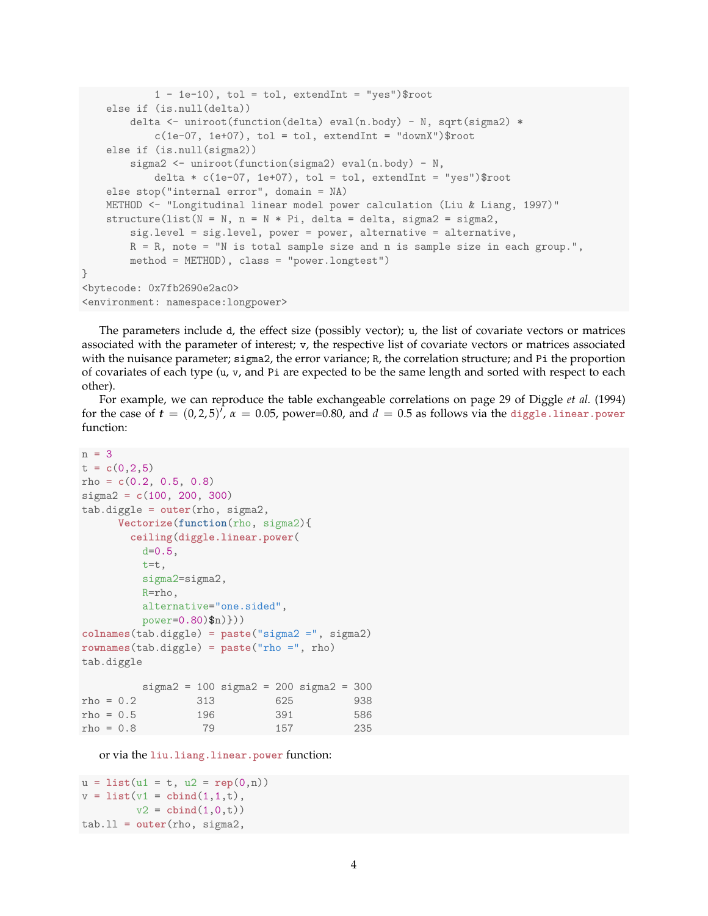```
1 - 1e-10, tol = tol, extendInt = "yes")$root
    else if (is.null(delta))
       delta <- uniroot(function(delta) eval(n.body) - N, sqrt(sigma2) *
            c(1e-07, 1e+07), tol = tol, extendInt = "downX")$root
    else if (is.null(sigma2))
       sigma2 <- uniroot(function(sigma2) eval(n.body) - N,
            delta * c(1e-07, 1e+07), tol = tol, extendInt = "yes")$root
    else stop("internal error", domain = NA)
   METHOD <- "Longitudinal linear model power calculation (Liu & Liang, 1997)"
    structure(list(N = N, n = N * Pi, delta = delta, sigma2 = sigma2,
       sig.level = sig.level, power = power, alternative = alternative,
       R = R, note = "N is total sample size and n is sample size in each group.",
       method = METHOD), class = "power.longtest")
}
<bytecode: 0x7fb2690e2ac0>
<environment: namespace:longpower>
```
The parameters include d, the effect size (possibly vector); u, the list of covariate vectors or matrices associated with the parameter of interest; v, the respective list of covariate vectors or matrices associated with the nuisance parameter; sigma2, the error variance; R, the correlation structure; and Pi the proportion of covariates of each type  $(u, v, v)$  and Pi are expected to be the same length and sorted with respect to each other).

For example, we can reproduce the table exchangeable correlations on page 29 of Diggle *et al.* (1994) for the case of  $t = (0, 2, 5)^T$ ,  $\alpha = 0.05$ , power=0.80, and  $d = 0.5$  as follows via the diggle.linear.power function:

```
n = 3t = c(0, 2, 5)rho = c(0.2, 0.5, 0.8)
sigma2 = c(100, 200, 300)
tab.diggle = outer(rho, sigma2,
     Vectorize(function(rho, sigma2){
       ceiling(diggle.linear.power(
        d=0.5,
        t=t,
        sigma2=sigma2,
        R=rho,
        alternative="one.sided",
        power=0.80)$n)}))
colnames(tab.diggle) = paste("sigma2 =", sigma2)
rownames(tab.diggle) = paste("rho =", rho)
tab.diggle
        sigma2 = 100 sigma2 = 200 sigma2 = 300
rho = 0.2 313 625 938
rho = 0.5 196 391 586
rho = 0.8 79 157 235
```
or via the **liu.liang.linear.power** function:

```
u = list(u1 = t, u2 = rep(0, n))v = list(v1 = cbind(1,1,t)),v2 = \text{cbind}(1,0,t)tab.ll = outer(rho, sigma2,
```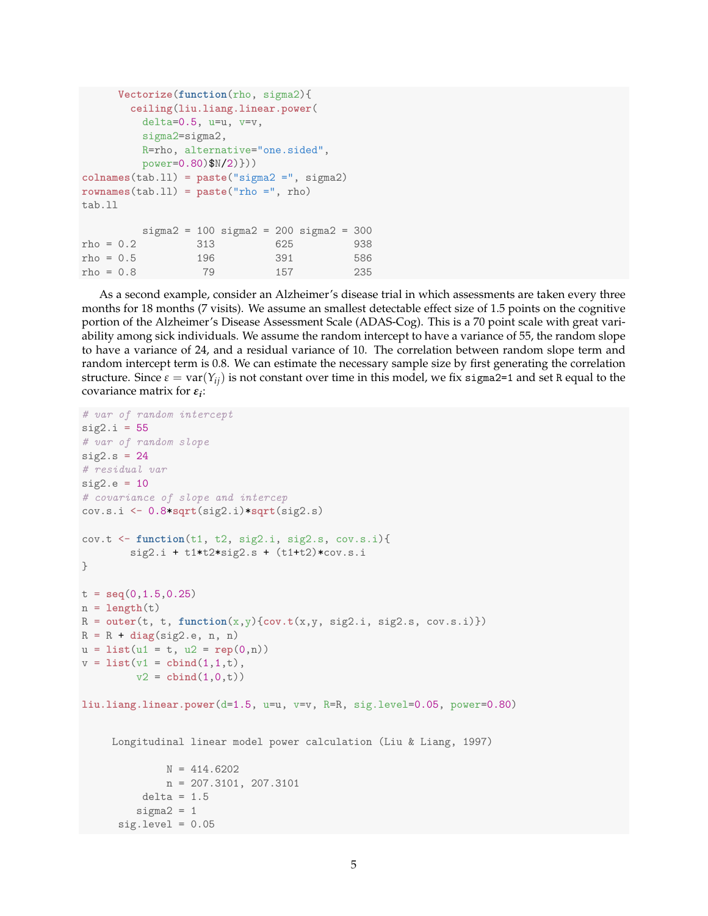```
Vectorize(function(rho, sigma2){
      ceiling(liu.liang.linear.power(
        delta=0.5, u=u, v=v,
        sigma2=sigma2,
        R=rho, alternative="one.sided",
        power=0.80)$N/2)}))
colnames(tab.ll) = paste("sigma2 =", sigma2)
rownames(tab.ll) = paste("rho =", rho)
tab.ll
        sigma2 = 100 sigma2 = 200 sigma2 = 300rho = 0.2 313 625 938
rho = 0.5 196 391 586
rho = 0.8 79 157 235
```
As a second example, consider an Alzheimer's disease trial in which assessments are taken every three months for 18 months (7 visits). We assume an smallest detectable effect size of 1.5 points on the cognitive portion of the Alzheimer's Disease Assessment Scale (ADAS-Cog). This is a 70 point scale with great variability among sick individuals. We assume the random intercept to have a variance of 55, the random slope to have a variance of 24, and a residual variance of 10. The correlation between random slope term and random intercept term is 0.8. We can estimate the necessary sample size by first generating the correlation structure. Since  $\varepsilon = \text{var}(Y_{ij})$  is not constant over time in this model, we fix sigma2=1 and set R equal to the covariance matrix for *ε<sup>i</sup>* :

```
# var of random intercept
sig2.i = 55# var of random slope
sig2.s = 24# residual var
sig2.e = 10# covariance of slope and intercep
cov.s.i <- 0.8*sqrt(sig2.i)*sqrt(sig2.s)
cov.t <- function(t1, t2, sig2.i, sig2.s, cov.s.i){
        sig2.i + t1*t2*sig2.s + (t1+t2)*cov.s.i}
t = \text{seq}(0, 1.5, 0.25)n = length(t)R = outer(t, t, function(x,y){cov.t(x,y, sig2.i, sig2.s, cov.s.i)})
R = R + diag(sig2.e, n, n)
u = 1ist(u1 = t, u2 = rep(0, n))
v = list(v1 = child(1,1,t)),v2 = \text{cbind}(1,0,t)liu.liang.linear.power(d=1.5, u=u, v=v, R=R, sig.level=0.05, power=0.80)
     Longitudinal linear model power calculation (Liu & Liang, 1997)
              N = 414.6202n = 207.3101, 207.3101
          delta = 1.5sigma2 = 1sig. level = 0.05
```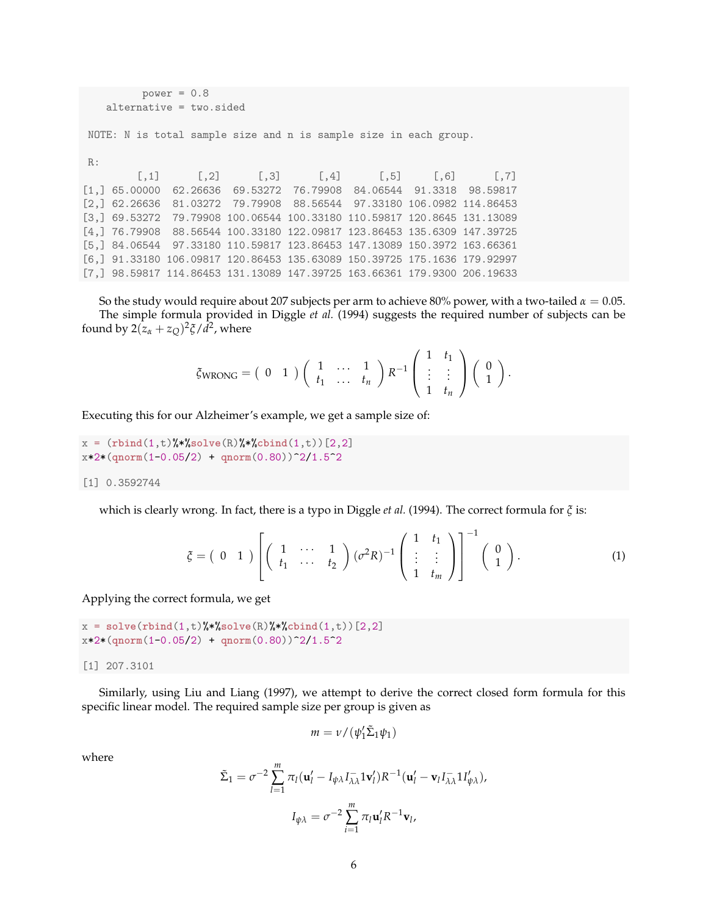```
power = 0.8alternative = two.sided
NOTE: N is total sample size and n is sample size in each group.
R:
        [0,1] [0,2] [0,3] [0,4] [0,5] [0,6] [0,7][1,] 65.00000 62.26636 69.53272 76.79908 84.06544 91.3318 98.59817
[2,] 62.26636 81.03272 79.79908 88.56544 97.33180 106.0982 114.86453
[3,] 69.53272 79.79908 100.06544 100.33180 110.59817 120.8645 131.13089
[4,] 76.79908 88.56544 100.33180 122.09817 123.86453 135.6309 147.39725
[5,] 84.06544 97.33180 110.59817 123.86453 147.13089 150.3972 163.66361
[6,] 91.33180 106.09817 120.86453 135.63089 150.39725 175.1636 179.92997
[7,] 98.59817 114.86453 131.13089 147.39725 163.66361 179.9300 206.19633
```
So the study would require about 207 subjects per arm to achieve 80% power, with a two-tailed  $\alpha = 0.05$ . The simple formula provided in Diggle *et al.* (1994) suggests the required number of subjects can be found by  $2(z_\alpha + z_Q)^2 \xi / d^2$ , where

$$
\zeta_{\text{WRONG}} = \begin{pmatrix} 0 & 1 \end{pmatrix} \begin{pmatrix} 1 & \cdots & 1 \\ t_1 & \cdots & t_n \end{pmatrix} R^{-1} \begin{pmatrix} 1 & t_1 \\ \vdots & \vdots \\ 1 & t_n \end{pmatrix} \begin{pmatrix} 0 \\ 1 \end{pmatrix}.
$$

Executing this for our Alzheimer's example, we get a sample size of:

```
x = (rbind(1,t)%*%solve(R)%*%cbind(1,t)[2,2]x*2*(qnorm(1-0.05/2) + qnorm(0.80))^2/1.5^2
```
[1] 0.3592744

which is clearly wrong. In fact, there is a typo in Diggle *et al.* (1994). The correct formula for *ξ* is:

$$
\zeta = \begin{pmatrix} 0 & 1 \end{pmatrix} \left[ \begin{pmatrix} 1 & \cdots & 1 \\ t_1 & \cdots & t_2 \end{pmatrix} (\sigma^2 R)^{-1} \begin{pmatrix} 1 & t_1 \\ \vdots & \vdots \\ 1 & t_m \end{pmatrix} \right]^{-1} \begin{pmatrix} 0 \\ 1 \end{pmatrix}.
$$
 (1)

Applying the correct formula, we get

```
x = solve(rbind(1,t)%*%solve(R)%*%cbind(1,t) [2,2]
x*2*(qnorm(1-0.05/2) + qnorm(0.80))^2/1.5^2
```
[1] 207.3101

Similarly, using Liu and Liang (1997), we attempt to derive the correct closed form formula for this specific linear model. The required sample size per group is given as

$$
m = \nu / (\psi_1' \tilde{\Sigma}_1 \psi_1)
$$

where

$$
\tilde{\Sigma}_1 = \sigma^{-2} \sum_{l=1}^m \pi_l (\mathbf{u}_l' - I_{\psi\lambda} I_{\lambda\lambda}^{-1} \mathbf{1} \mathbf{v}_l') R^{-1} (\mathbf{u}_l' - \mathbf{v}_l I_{\lambda\lambda}^{-1} \mathbf{1} I_{\psi\lambda}'),
$$

$$
I_{\psi\lambda} = \sigma^{-2} \sum_{i=1}^m \pi_l \mathbf{u}_l' R^{-1} \mathbf{v}_l,
$$